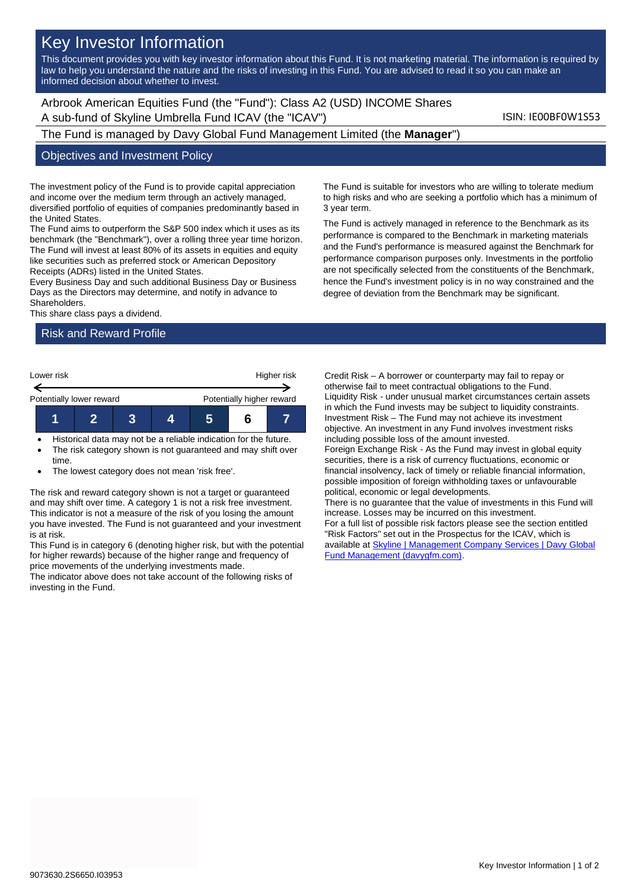# Key Investor Information

This document provides you with key investor information about this Fund. It is not marketing material. The information is required by law to help you understand the nature and the risks of investing in this Fund. You are advised to read it so you can make an informed decision about whether to invest.

Arbrook American Equities Fund (the "Fund"): Class A2 (USD) INCOME Shares A sub-fund of Skyline Umbrella Fund ICAV (the "ICAV") ISIN: IE00BF0W1S53

The Fund is managed by Davy Global Fund Management Limited (the **Manager**")

#### Objectives and Investment Policy

The investment policy of the Fund is to provide capital appreciation and income over the medium term through an actively managed, diversified portfolio of equities of companies predominantly based in the United States.

The Fund aims to outperform the S&P 500 index which it uses as its benchmark (the "Benchmark"), over a rolling three year time horizon. The Fund will invest at least 80% of its assets in equities and equity like securities such as preferred stock or American Depository Receipts (ADRs) listed in the United States.

Every Business Day and such additional Business Day or Business Days as the Directors may determine, and notify in advance to Shareholders.

This share class pays a dividend.

### Risk and Reward Profile



- Historical data may not be a reliable indication for the future.
- The risk category shown is not guaranteed and may shift over time.
- The lowest category does not mean 'risk free'.

The risk and reward category shown is not a target or guaranteed and may shift over time. A category 1 is not a risk free investment. This indicator is not a measure of the risk of you losing the amount you have invested. The Fund is not guaranteed and your investment is at risk.

This Fund is in category 6 (denoting higher risk, but with the potential for higher rewards) because of the higher range and frequency of price movements of the underlying investments made.

The indicator above does not take account of the following risks of investing in the Fund.

The Fund is suitable for investors who are willing to tolerate medium to high risks and who are seeking a portfolio which has a minimum of 3 year term.

The Fund is actively managed in reference to the Benchmark as its performance is compared to the Benchmark in marketing materials and the Fund's performance is measured against the Benchmark for performance comparison purposes only. Investments in the portfolio are not specifically selected from the constituents of the Benchmark, hence the Fund's investment policy is in no way constrained and the degree of deviation from the Benchmark may be significant.

Credit Risk – A borrower or counterparty may fail to repay or otherwise fail to meet contractual obligations to the Fund. Liquidity Risk - under unusual market circumstances certain assets in which the Fund invests may be subject to liquidity constraints. Investment Risk – The Fund may not achieve its investment objective. An investment in any Fund involves investment risks including possible loss of the amount invested. Foreign Exchange Risk - As the Fund may invest in global equity securities, there is a risk of currency fluctuations, economic or financial insolvency, lack of timely or reliable financial information, possible imposition of foreign withholding taxes or unfavourable political, economic or legal developments. There is no guarantee that the value of investments in this Fund will increase. Losses may be incurred on this investment. For a full list of possible risk factors please see the section entitled "Risk Factors" set out in the Prospectus for the ICAV, which is available a[t Skyline | Management Company Services | Davy Global](https://www.davygfm.com/funds-factsheets/management-company-services/ireland/skyline.html) 

[Fund Management \(davygfm.com\).](https://www.davygfm.com/funds-factsheets/management-company-services/ireland/skyline.html)